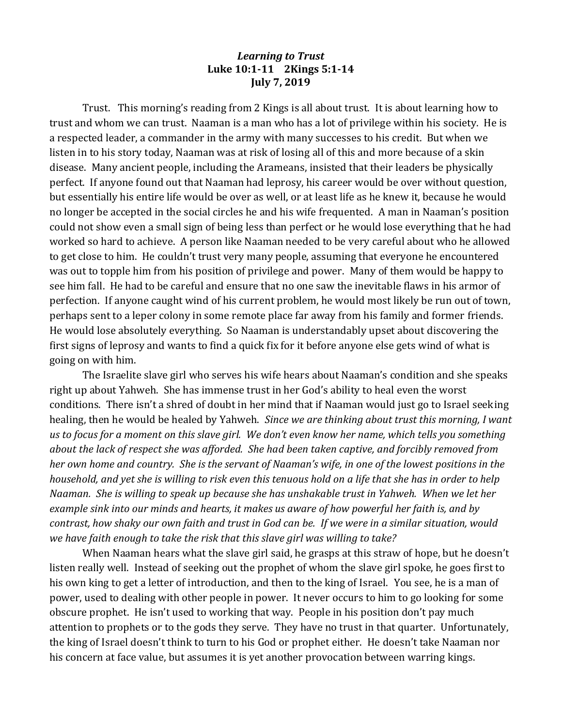## *Learning to Trust* **Luke 10:1-11 2Kings 5:1-14 July 7, 2019**

Trust. This morning's reading from 2 Kings is all about trust. It is about learning how to trust and whom we can trust. Naaman is a man who has a lot of privilege within his society. He is a respected leader, a commander in the army with many successes to his credit. But when we listen in to his story today, Naaman was at risk of losing all of this and more because of a skin disease. Many ancient people, including the Arameans, insisted that their leaders be physically perfect. If anyone found out that Naaman had leprosy, his career would be over without question, but essentially his entire life would be over as well, or at least life as he knew it, because he would no longer be accepted in the social circles he and his wife frequented. A man in Naaman's position could not show even a small sign of being less than perfect or he would lose everything that he had worked so hard to achieve. A person like Naaman needed to be very careful about who he allowed to get close to him. He couldn't trust very many people, assuming that everyone he encountered was out to topple him from his position of privilege and power. Many of them would be happy to see him fall. He had to be careful and ensure that no one saw the inevitable flaws in his armor of perfection. If anyone caught wind of his current problem, he would most likely be run out of town, perhaps sent to a leper colony in some remote place far away from his family and former friends. He would lose absolutely everything. So Naaman is understandably upset about discovering the first signs of leprosy and wants to find a quick fix for it before anyone else gets wind of what is going on with him.

The Israelite slave girl who serves his wife hears about Naaman's condition and she speaks right up about Yahweh. She has immense trust in her God's ability to heal even the worst conditions. There isn't a shred of doubt in her mind that if Naaman would just go to Israel seeking healing, then he would be healed by Yahweh. *Since we are thinking about trust this morning, I want us to focus for a moment on this slave girl. We don't even know her name, which tells you something about the lack of respect she was afforded. She had been taken captive, and forcibly removed from her own home and country. She is the servant of Naaman's wife, in one of the lowest positions in the household, and yet she is willing to risk even this tenuous hold on a life that she has in order to help Naaman. She is willing to speak up because she has unshakable trust in Yahweh. When we let her example sink into our minds and hearts, it makes us aware of how powerful her faith is, and by contrast, how shaky our own faith and trust in God can be. If we were in a similar situation, would we have faith enough to take the risk that this slave girl was willing to take?*

When Naaman hears what the slave girl said, he grasps at this straw of hope, but he doesn't listen really well. Instead of seeking out the prophet of whom the slave girl spoke, he goes first to his own king to get a letter of introduction, and then to the king of Israel. You see, he is a man of power, used to dealing with other people in power. It never occurs to him to go looking for some obscure prophet. He isn't used to working that way. People in his position don't pay much attention to prophets or to the gods they serve. They have no trust in that quarter. Unfortunately, the king of Israel doesn't think to turn to his God or prophet either. He doesn't take Naaman nor his concern at face value, but assumes it is yet another provocation between warring kings.